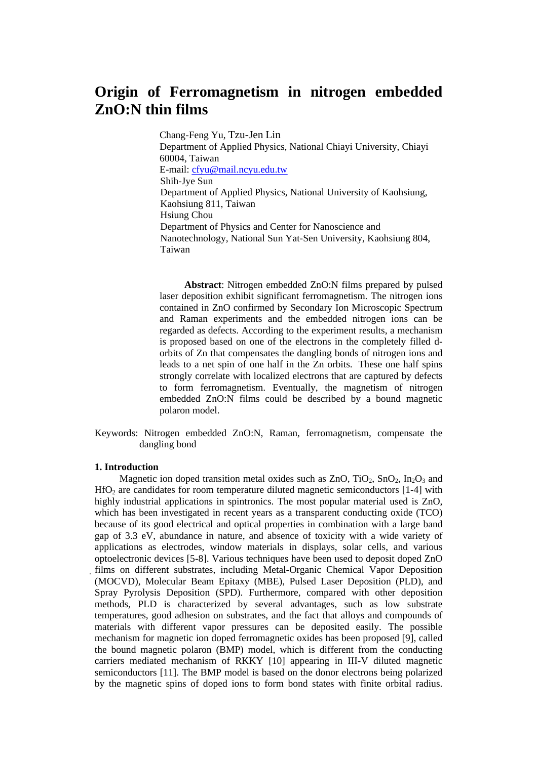# **Origin of Ferromagnetism in nitrogen embedded ZnO:N thin films**

Chang-Feng Yu, Tzu-Jen Lin Department of Applied Physics, National Chiayi University, Chiayi 60004, Taiwan E-mail: [cfyu@mail.ncyu.edu.tw](mailto:cfyu@mail.ncyu.edu.tw) Shih-Jye Sun Department of Applied Physics, National University of Kaohsiung, Kaohsiung 811, Taiwan Hsiung Chou Department of Physics and Center for Nanoscience and Nanotechnology, National Sun Yat-Sen University, Kaohsiung 804, Taiwan

**Abstract**: Nitrogen embedded ZnO:N films prepared by pulsed laser deposition exhibit significant ferromagnetism. The nitrogen ions contained in ZnO confirmed by Secondary Ion Microscopic Spectrum and Raman experiments and the embedded nitrogen ions can be regarded as defects. According to the experiment results, a mechanism is proposed based on one of the electrons in the completely filled dorbits of Zn that compensates the dangling bonds of nitrogen ions and leads to a net spin of one half in the Zn orbits. These one half spins strongly correlate with localized electrons that are captured by defects to form ferromagnetism. Eventually, the magnetism of nitrogen embedded ZnO:N films could be described by a bound magnetic polaron model.

Keywords: Nitrogen embedded ZnO:N, Raman, ferromagnetism, compensate the dangling bond

# **1. Introduction**

Magnetic ion doped transition metal oxides such as  $ZnO$ ,  $TiO<sub>2</sub>$ ,  $SnO<sub>2</sub>$ ,  $In<sub>2</sub>O<sub>3</sub>$  and  $HfO<sub>2</sub>$  are candidates for room temperature diluted magnetic semiconductors [1-4] with highly industrial applications in spintronics. The most popular material used is ZnO, which has been investigated in recent years as a transparent conducting oxide (TCO) because of its good electrical and optical properties in combination with a large band gap of 3.3 eV, abundance in nature, and absence of toxicity with a wide variety of applications as electrodes, window materials in displays, solar cells, and various optoelectronic devices [5-8]. Various techniques have been used to deposit doped ZnO *̓*films on different substrates, including Metal-Organic Chemical Vapor Deposition (MOCVD), Molecular Beam Epitaxy (MBE), Pulsed Laser Deposition (PLD), and Spray Pyrolysis Deposition (SPD). Furthermore, compared with other deposition methods, PLD is characterized by several advantages, such as low substrate temperatures, good adhesion on substrates, and the fact that alloys and compounds of materials with different vapor pressures can be deposited easily. The possible mechanism for magnetic ion doped ferromagnetic oxides has been proposed [9], called the bound magnetic polaron (BMP) model, which is different from the conducting carriers mediated mechanism of RKKY [10] appearing in III-V diluted magnetic semiconductors [11]. The BMP model is based on the donor electrons being polarized by the magnetic spins of doped ions to form bond states with finite orbital radius.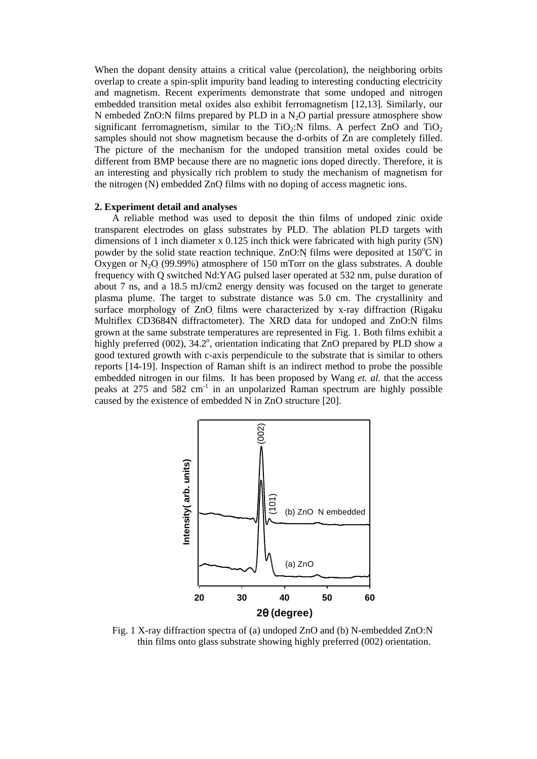When the dopant density attains a critical value (percolation), the neighboring orbits overlap to create a spin-split impurity band leading to interesting conducting electricity and magnetism. Recent experiments demonstrate that some undoped and nitrogen embedded transition metal oxides also exhibit ferromagnetism [12,13]. Similarly, our N embeded ZnO:N films prepared by PLD in a  $N_2O$  partial pressure atmosphere show significant ferromagnetism, similar to the TiO<sub>2</sub>:N films. A perfect ZnO and TiO<sub>2</sub> samples should not show magnetism because the d-orbits of Zn are completely filled. The picture of the mechanism for the undoped transition metal oxides could be different from BMP because there are no magnetic ions doped directly. Therefore, it is an interesting and physically rich problem to study the mechanism of magnetism for the nitrogen (N) embedded ZnO *̓*films with no doping of access magnetic ions.

# **2. Experiment detail and analyses**

A reliable method was used to deposit the thin films of undoped zinic oxide transparent electrodes on glass substrates by PLD. The ablation PLD targets with dimensions of 1 inch diameter x 0.125 inch thick were fabricated with high purity (5N) powder by the solid state reaction technique. ZnO:N films were deposited at 150<sup>o</sup>C in Oxygen or N<sub>2</sub>O (99.99%) atmosphere of 150 mTorr on the glass substrates. A double frequency with Q switched Nd:YAG pulsed laser operated at 532 nm, pulse duration of about 7 ns, and a 18.5 mJ/cm2 energy density was focused on the target to generate plasma plume. The target to substrate distance was 5.0 cm. The crystallinity and surface morphology of ZnO *̓*films were characterized by x-ray diffraction (Rigaku Multiflex CD3684N diffractometer). The XRD data for undoped and ZnO:N films grown at the same substrate temperatures are represented in Fig. 1. Both films exhibit a highly preferred (002), 34.2°, orientation indicating that ZnO prepared by PLD show a good textured growth with c-axis perpendicule to the substrate that is similar to others reports [14-19]. Inspection of Raman shift is an indirect method to probe the possible embedded nitrogen in our films. It has been proposed by Wang *et. al.* that the access peaks at  $275$  and  $582 \text{ cm}^{-1}$  in an unpolarized Raman spectrum are highly possible caused by the existence of embedded  $\overline{N}$  in ZnO structure [20].



Fig. 1 X-ray diffraction spectra of (a) undoped ZnO and (b) N-embedded ZnO:N thin films onto glass substrate showing highly preferred (002) orientation.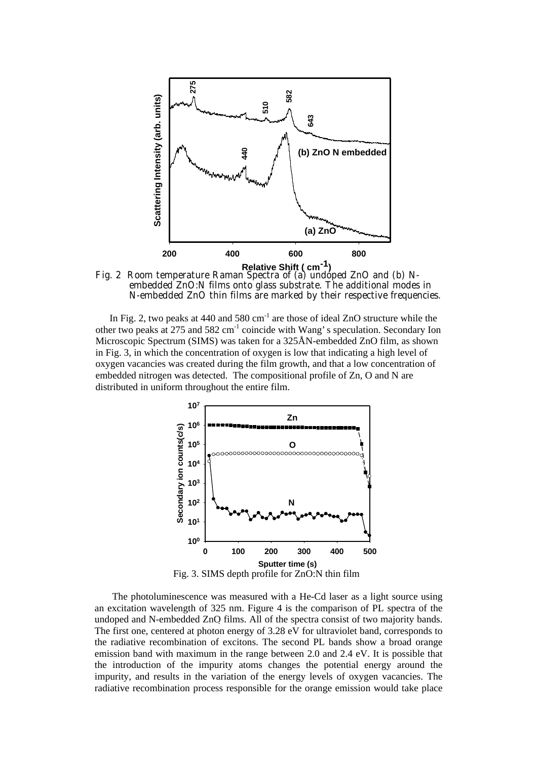

Fig. 2 Room temperature Raman Spectra of (a) undoped ZnO and (b) Nembedded ZnO:N films onto glass substrate. The additional modes in N-embedded ZnO thin films are marked by their respective frequencies.

In Fig. 2, two peaks at 440 and 580  $cm^{-1}$  are those of ideal ZnO structure while the other two peaks at 275 and 582 cm<sup>-1</sup> coincide with Wang's speculation. Secondary Ion Microscopic Spectrum (SIMS) was taken for a 325Å N-embedded ZnO film, as shown in Fig. 3, in which the concentration of oxygen is low that indicating a high level of oxygen vacancies was created during the film growth, and that a low concentration of embedded nitrogen was detected. The compositional profile of Zn, O and N are distributed in uniform throughout the entire film.



The photoluminescence was measured with a He-Cd laser as a light source using an excitation wavelength of 325 nm. Figure 4 is the comparison of PL spectra of the undoped and N-embedded ZnO *̓*films. All of the spectra consist of two majority bands. The first one, centered at photon energy of 3.28 eV for ultraviolet band, corresponds to the radiative recombination of excitons. The second PL bands show a broad orange emission band with maximum in the range between 2.0 and 2.4 eV. It is possible that the introduction of the impurity atoms changes the potential energy around the impurity, and results in the variation of the energy levels of oxygen vacancies. The radiative recombination process responsible for the orange emission would take place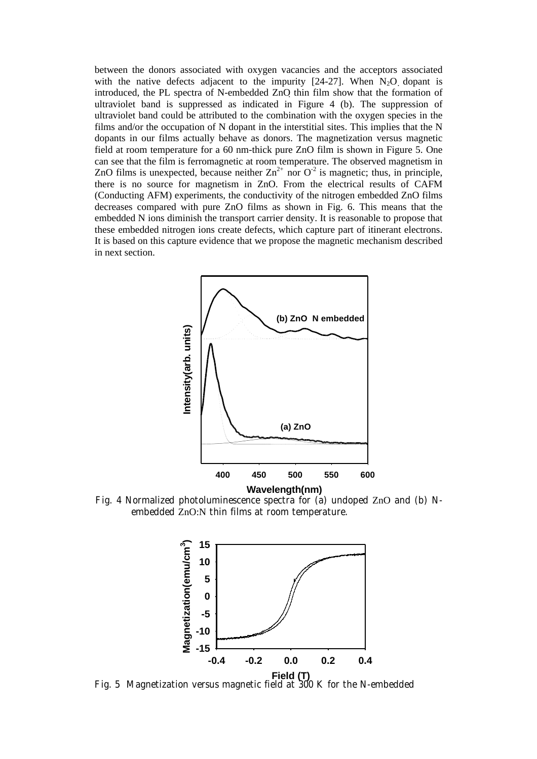between the donors associated with oxygen vacancies and the acceptors associated with the native defects adjacent to the impurity  $[24-27]$ . When  $N_2O$  dopant is introduced, the PL spectra of N-embedded ZnO *̓*thin film show that the formation of ultraviolet band is suppressed as indicated in Figure 4 (b). The suppression of ultraviolet band could be attributed to the combination with the oxygen species in the films and/or the occupation of N dopant in the interstitial sites. This implies that the N dopants in our films actually behave as donors. The magnetization versus magnetic field at room temperature for a 60 nm-thick pure ZnO film is shown in Figure 5. One can see that the film is ferromagnetic at room temperature. The observed magnetism in ZnO films is unexpected, because neither  $Zn^{2+}$  nor  $O^{-2}$  is magnetic; thus, in principle, there is no source for magnetism in ZnO. From the electrical results of CAFM (Conducting AFM) experiments, the conductivity of the nitrogen embedded ZnO films decreases compared with pure ZnO films as shown in Fig. 6. This means that the embedded N ions diminish the transport carrier density. It is reasonable to propose that these embedded nitrogen ions create defects, which capture part of itinerant electrons. It is based on this capture evidence that we propose the magnetic mechanism described in next section.



Fig. 4 Normalized photoluminescence spectra for (a) undoped ZnO and (b) Nembedded ZnO:N thin films at room temperature.



Fig. 5 Magnetization versus magnetic field at 300 K for the N-embedded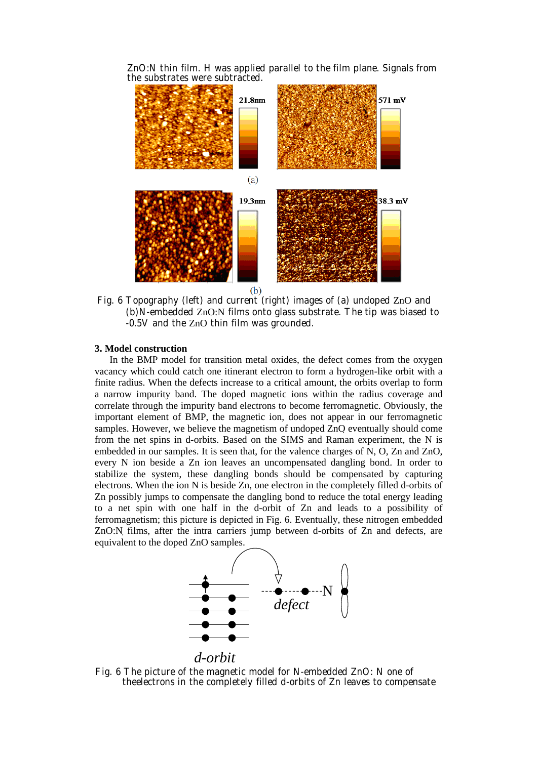ZnO:N thin film. H was applied parallel to the film plane. Signals from the substrates were subtracted.



Fig. 6 Topography (left) and current (right) images of (a) undoped ZnO and (b)N-embedded ZnO:N films onto glass substrate. The tip was biased to -0.5V and the ZnO thin film was grounded.

#### **3. Model construction**

In the BMP model for transition metal oxides, the defect comes from the oxygen vacancy which could catch one itinerant electron to form a hydrogen-like orbit with a finite radius. When the defects increase to a critical amount, the orbits overlap to form a narrow impurity band. The doped magnetic ions within the radius coverage and correlate through the impurity band electrons to become ferromagnetic. Obviously, the important element of BMP, the magnetic ion, does not appear in our ferromagnetic samples. However, we believe the magnetism of undoped ZnO eventually should come from the net spins in d-orbits. Based on the SIMS and Raman experiment, the N is embedded in our samples. It is seen that, for the valence charges of N, O, Zn and ZnO, every N ion beside a Zn ion leaves an uncompensated dangling bond. In order to stabilize the system, these dangling bonds should be compensated by capturing electrons. When the ion N is beside Zn, one electron in the completely filled d-orbits of Zn possibly jumps to compensate the dangling bond to reduce the total energy leading to a net spin with one half in the d-orbit of Zn and leads to a possibility of ferromagnetism; this picture is depicted in Fig. 6. Eventually, these nitrogen embedded ZnO:N *̓*films, after the intra carriers jump between d-orbits of Zn and defects, are equivalent to the doped ZnO samples.



*d-orbit*

Fig. 6 The picture of the magnetic model for N-embedded ZnO: N one of theelectrons in the completely filled d-orbits of Zn leaves to compensate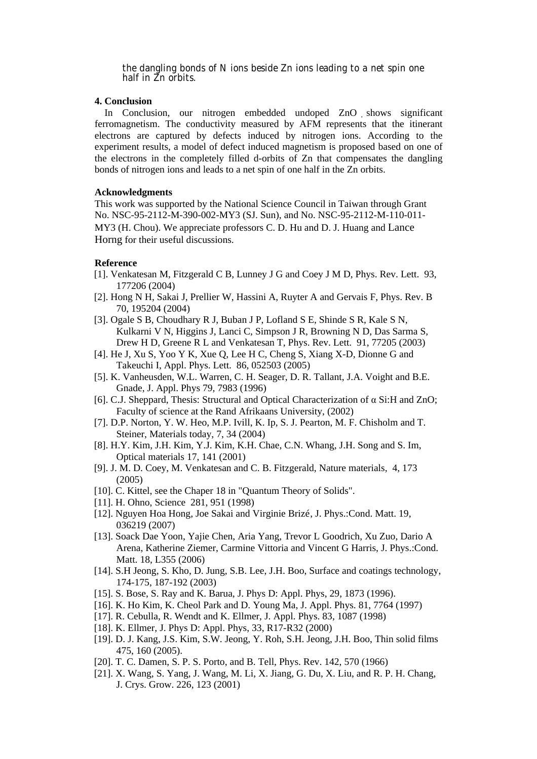the dangling bonds of N ions beside Zn ions leading to a net spin one half in  $\bar{Z}$ n orbits.

## **4. Conclusion**

In Conclusion, our nitrogen embedded undoped ZnO *̓*shows significant ferromagnetism. The conductivity measured by AFM represents that the itinerant electrons are captured by defects induced by nitrogen ions. According to the experiment results, a model of defect induced magnetism is proposed based on one of the electrons in the completely filled d-orbits of Zn that compensates the dangling bonds of nitrogen ions and leads to a net spin of one half in the Zn orbits.

# **Acknowledgments**

This work was supported by the National Science Council in Taiwan through Grant No. NSC-95-2112-M-390-002-MY3 (SJ. Sun), and No. NSC-95-2112-M-110-011- MY3 (H. Chou). We appreciate professors C. D. Hu and D. J. Huang and Lance Horng for their useful discussions.

# **Reference**

- [1]. Venkatesan M, Fitzgerald C B, Lunney J G and Coey J M D, Phys. Rev. Lett. 93, 177206 (2004)
- [2]. Hong N H, Sakai J, Prellier W, Hassini A, Ruyter A and Gervais F, Phys. Rev. B 70, 195204 (2004)
- [3]. Ogale S B, Choudhary R J, Buban J P, Lofland S E, Shinde S R, Kale S N, Kulkarni V N, Higgins J, Lanci C, Simpson J R, Browning N D, Das Sarma S, Drew H D, Greene R L and Venkatesan T, Phys. Rev. Lett. 91, 77205 (2003)
- [4]. He J, Xu S, Yoo Y K, Xue Q, Lee H C, Cheng S, Xiang X-D, Dionne G and Takeuchi I, Appl. Phys. Lett. 86, 052503 (2005)
- [5]. K. Vanheusden, W.L. Warren, C. H. Seager, D. R. Tallant, J.A. Voight and B.E. Gnade, J. Appl. Phys 79, 7983 (1996)
- [6]. C.J. Sheppard, Thesis: Structural and Optical Characterization of  $\alpha$  Si:H and ZnO; Faculty of science at the Rand Afrikaans University, (2002)
- [7]. D.P. Norton, Y. W. Heo, M.P. Ivill, K. Ip, S. J. Pearton, M. F. Chisholm and T. Steiner, Materials today, 7, 34 (2004)
- [8]. H.Y. Kim, J.H. Kim, Y.J. Kim, K.H. Chae, C.N. Whang, J.H. Song and S. Im, Optical materials 17, 141 (2001)
- [9]. J. M. D. Coey, M. Venkatesan and C. B. Fitzgerald, Nature materials, 4, 173 (2005)
- [10]. C. Kittel, see the Chaper 18 in "Quantum Theory of Solids".
- [11]. H. Ohno, Science 281, 951 (1998)
- [12]. Nguyen Hoa Hong, Joe Sakai and Virginie Brizé, J. Phys.:Cond. Matt. 19, 036219 (2007)
- [13]. Soack Dae Yoon, Yajie Chen, Aria Yang, Trevor L Goodrich, Xu Zuo, Dario A Arena, Katherine Ziemer, Carmine Vittoria and Vincent G Harris, J. Phys.:Cond. Matt. 18, L355 (2006)
- [14]. S.H Jeong, S. Kho, D. Jung, S.B. Lee, J.H. Boo, Surface and coatings technology, 174-175, 187-192 (2003)
- [15]. S. Bose, S. Ray and K. Barua, J. Phys D: Appl. Phys, 29, 1873 (1996).
- [16]. K. Ho Kim, K. Cheol Park and D. Young Ma, J. Appl. Phys. 81, 7764 (1997)
- [17]. R. Cebulla, R. Wendt and K. Ellmer, J. Appl. Phys. 83, 1087 (1998)
- [18]. K. Ellmer, J. Phys D: Appl. Phys, 33, R17-R32 (2000)
- [19]. D. J. Kang, J.S. Kim, S.W. Jeong, Y. Roh, S.H. Jeong, J.H. Boo, Thin solid films 475, 160 (2005).
- [20]. T. C. Damen, S. P. S. Porto, and B. Tell, Phys. Rev. 142, 570 (1966)
- [21]. X. Wang, S. Yang, J. Wang, M. Li, X. Jiang, G. Du, X. Liu, and R. P. H. Chang, J. Crys. Grow. 226, 123 (2001)